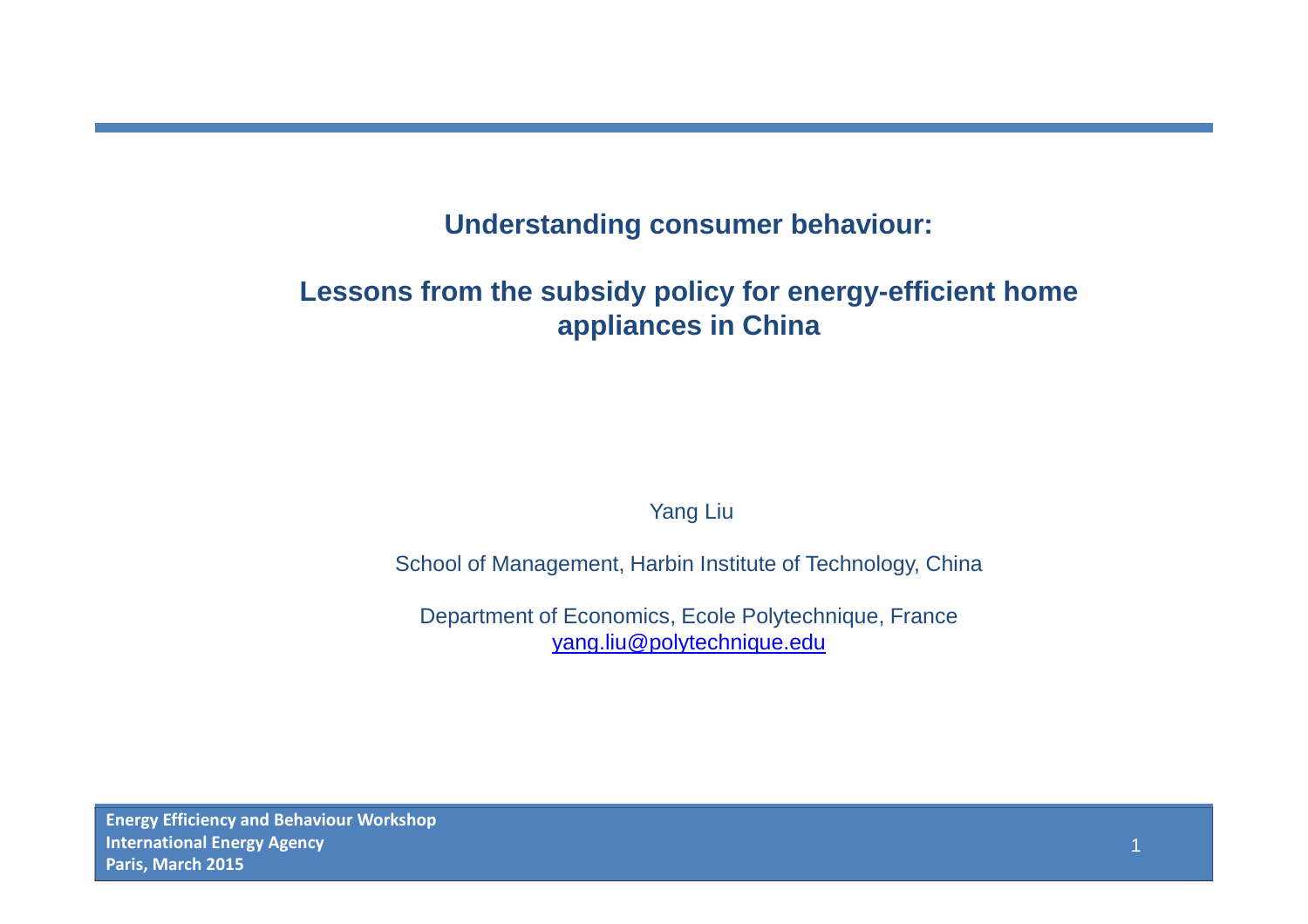#### **Understanding consumer behaviour:**

### **Lessons from the subsidy policy for energy-efficient home appliances in China**

Yang Liu

School of Management, Harbin Institute of Technology, China

Department of Economics, Ecole Polytechnique, Franceyang.liu@polytechnique.edu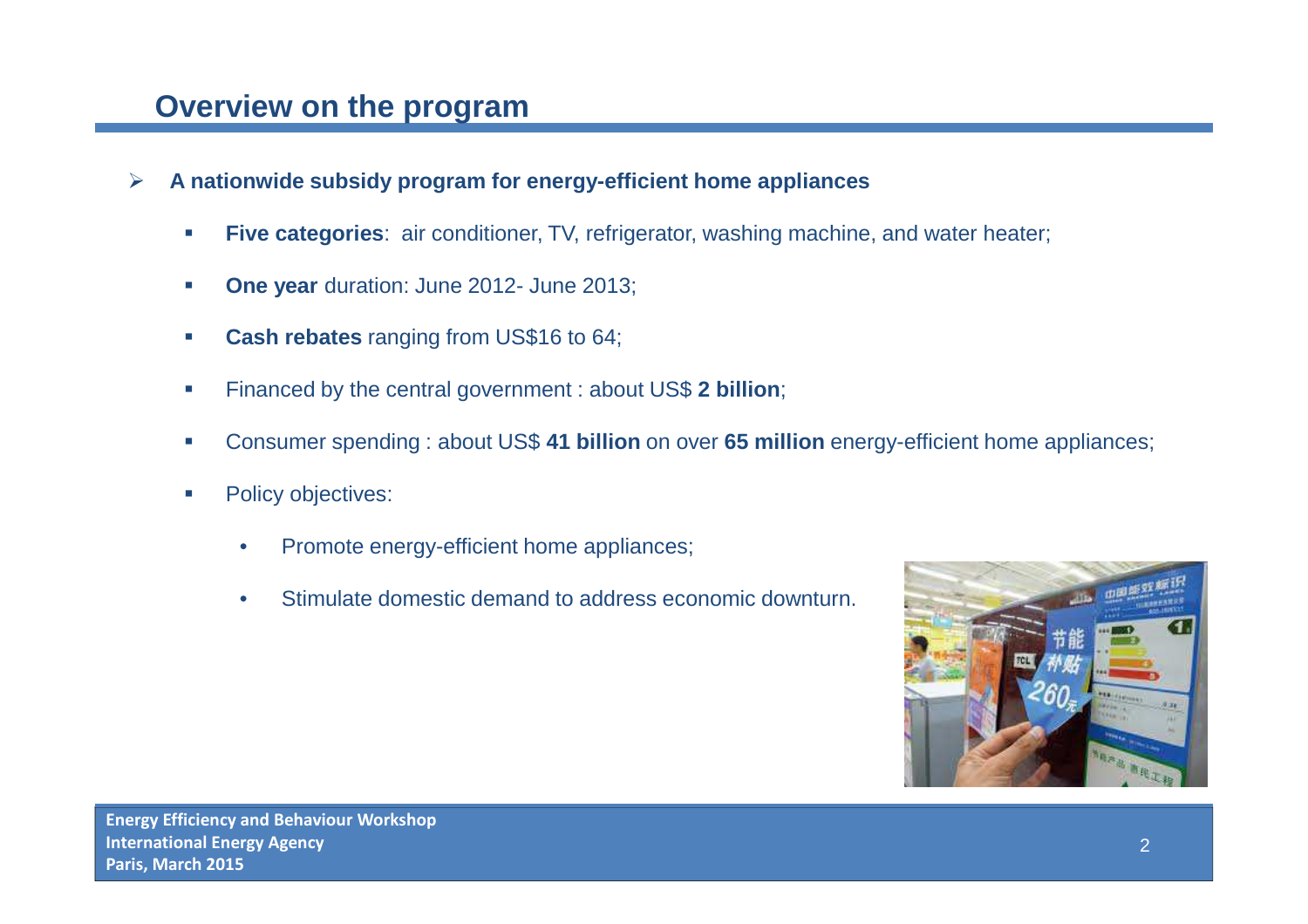## **Overview on the program**

- $\blacktriangleright$  **A nationwide subsidy program for energy-efficient home appliances**
	- -**Five categories:** air conditioner, TV, refrigerator, washing machine, and water heater;
	- -**One year** duration: June 2012- June 2013;
	- -**Cash rebates** ranging from US\$16 to 64;
	- -Financed by the central government : about US\$ **2 billion**;
	- -Consumer spending : about US\$ **41 billion** on over **65 million** energy-efficient home appliances;
	- -Policy objectives:
		- •Promote energy-efficient home appliances;
		- •Stimulate domestic demand to address economic downturn.

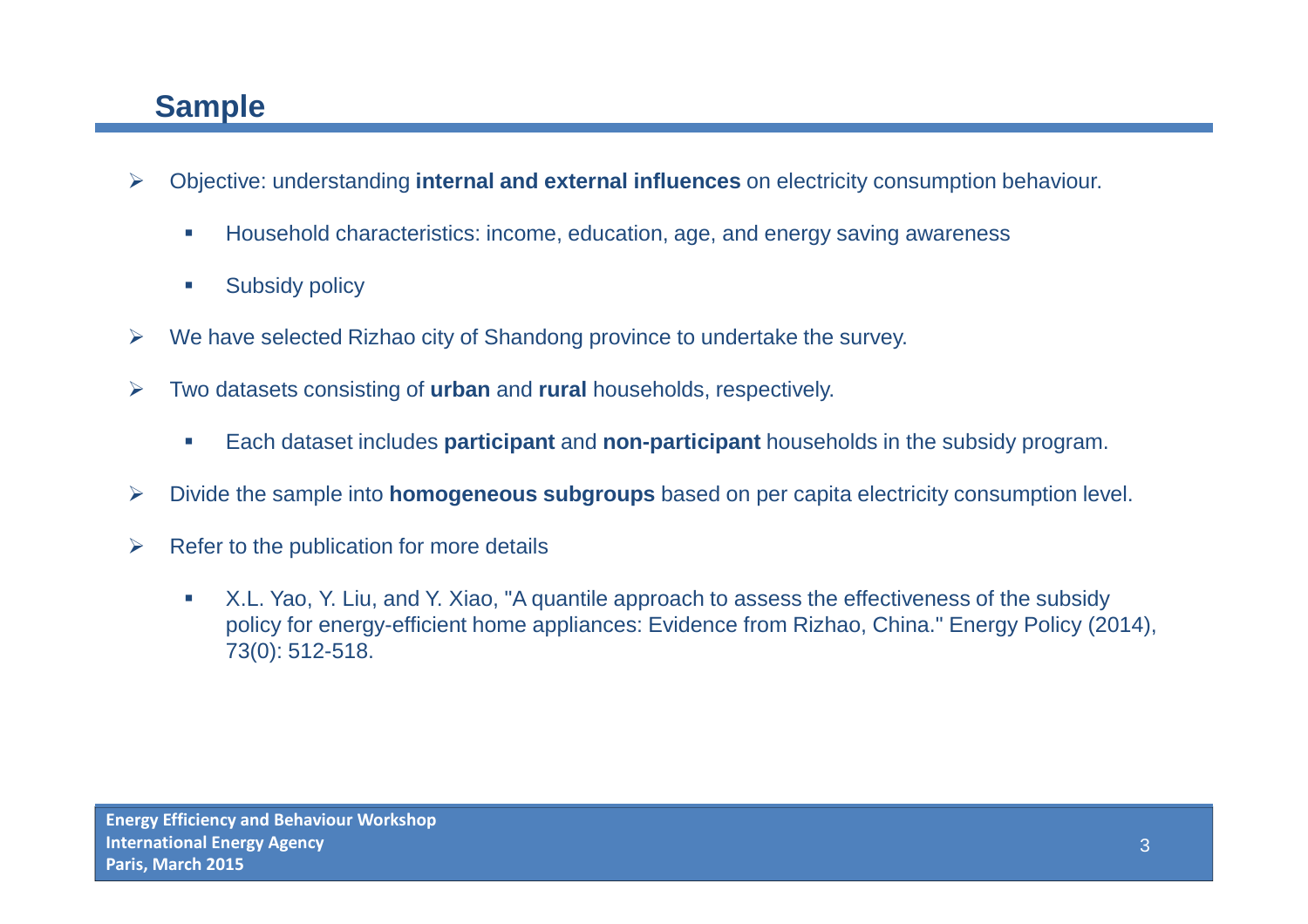# **Sample**

- $\blacktriangleright$  Objective: understanding **internal and external influences** on electricity consumption behaviour.
	- -Household characteristics: income, education, age, and energy saving awareness
	- -Subsidy policy
- $\blacktriangleright$ We have selected Rizhao city of Shandong province to undertake the survey.
- $\blacktriangleright$  Two datasets consisting of **urban** and **rural** households, respectively.
	- -Each dataset includes **participant** and **non-participant** households in the subsidy program.
- $\blacktriangleright$ Divide the sample into **homogeneous subgroups** based on per capita electricity consumption level.
- $\blacktriangleright$  Refer to the publication for more details
	- - X.L. Yao, Y. Liu, and Y. Xiao, "A quantile approach to assess the effectiveness of the subsidy policy for energy-efficient home appliances: Evidence from Rizhao, China." Energy Policy (2014), 73(0): 512-518.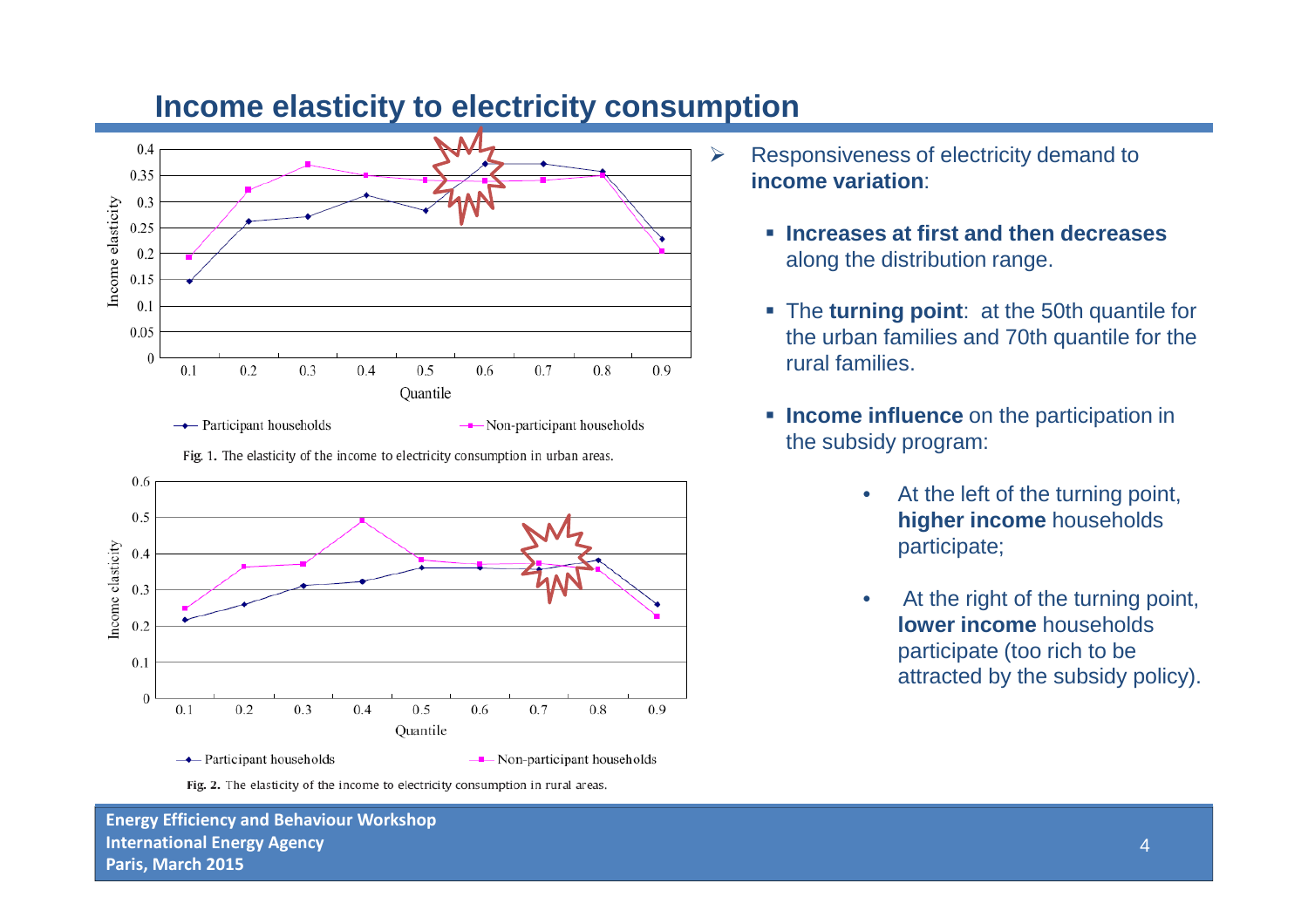

**Income elasticity to electricity consumption** 

Fig. 1. The elasticity of the income to electricity consumption in urban areas.



- $\blacktriangleright$  Responsiveness of electricity demand to **income variation**:
	- **Increases at first and then decreases**  along the distribution range.
	- **The turning point**: at the 50th quantile for the urban families and 70th quantile for the rural families.
	- **Income influence** on the participation in the subsidy program:
		- • At the left of the turning point, **higher income** households participate;
		- • At the right of the turning point, **lower income** households participate (too rich to be attracted by the subsidy policy).

Fig. 2. The elasticity of the income to electricity consumption in rural areas.

**Energy Efficiency and Behaviour WorkshopInternational Energy AgencyParis, March 2015**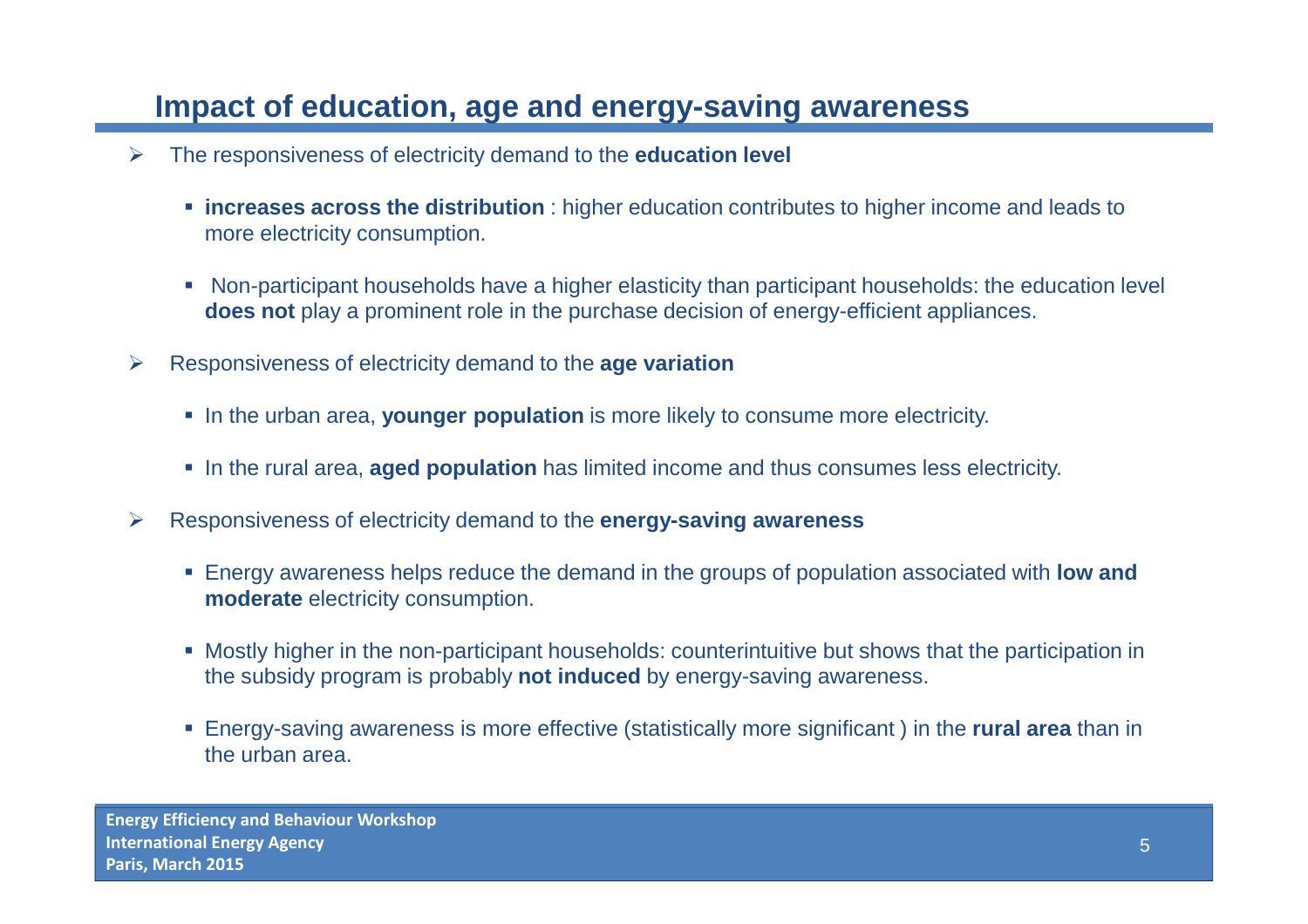## **Impact of education, age and energy-saving awareness**

- $\blacktriangleright$  The responsiveness of electricity demand to the **education level** 
	- **increases across the distribution** : higher education contributes to higher income and leads to more electricity consumption.
	- Non-participant households have a higher elasticity than participant households: the education level **does not** play a prominent role in the purchase decision of energy-efficient appliances.
- $\blacktriangleright$  Responsiveness of electricity demand to the **age variation**
	- In the urban area, **younger population** is more likely to consume more electricity.
	- In the rural area, **aged population** has limited income and thus consumes less electricity.
- $\blacktriangleright$  Responsiveness of electricity demand to the **energy-saving awareness** 
	- Energy awareness helps reduce the demand in the groups of population associated with low and **moderate** electricity consumption.
	- Mostly higher in the non-participant households: counterintuitive but shows that the participation in the subsidy program is probably **not induced** by energy-saving awareness.
	- Energy-saving awareness is more effective (statistically more significant ) in the **rural area** than in the urban area.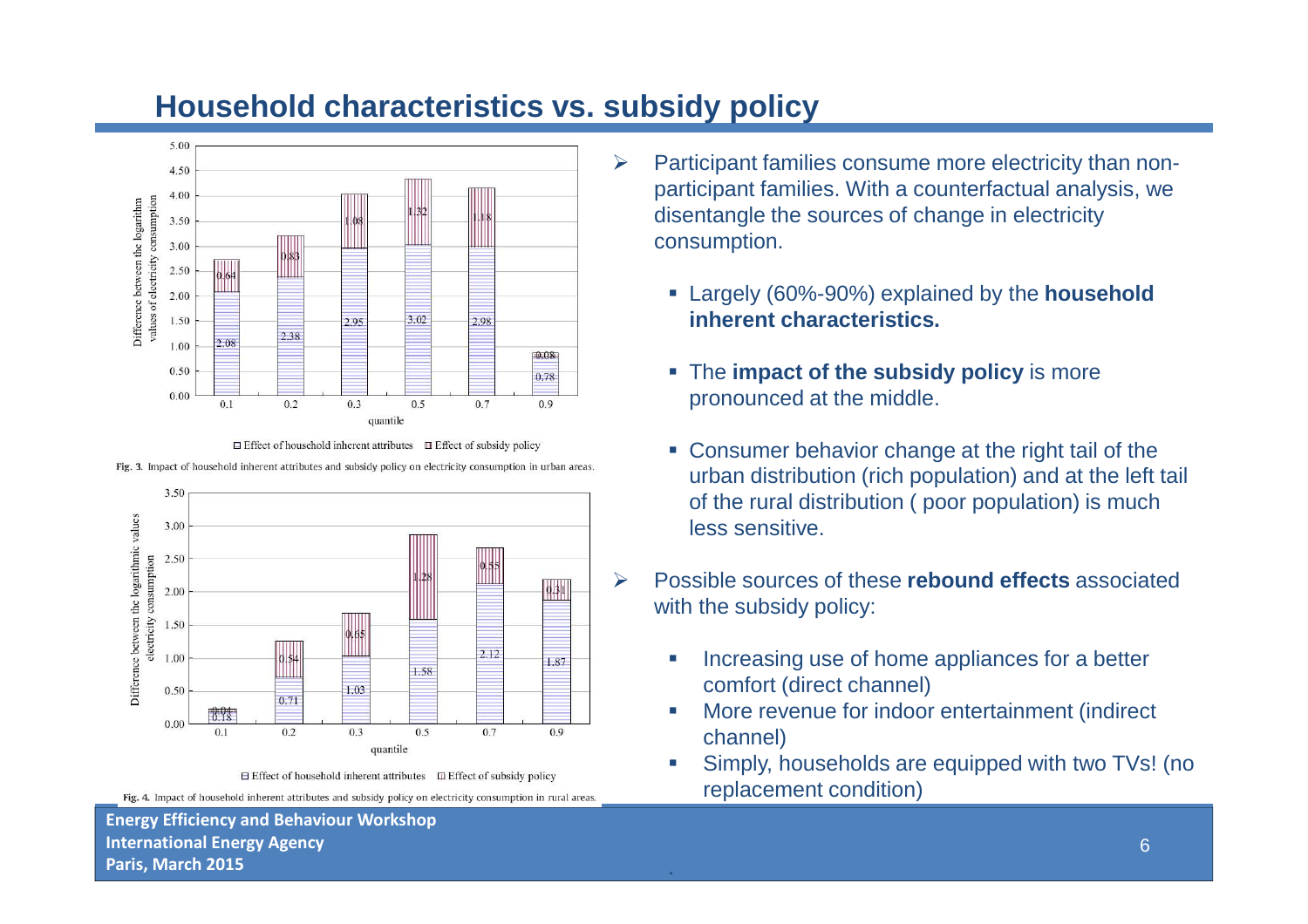

### **Household characteristics vs. subsidy policy**

 $\blacktriangleright$ 



Fig. 3. Impact of household inherent attributes and subsidy policy on electricity consumption in urban areas.



 $\Box$  Effect of household inherent attributes  $\Box$  Effect of subsidy policy Fig. 4. Impact of household inherent attributes and subsidy policy on electricity consumption in rural areas.

**Energy Efficiency and Behaviour WorkshopInternational Energy AgencyParis, March 2015**

- Participant families consume more electricity than nonparticipant families. With a counterfactual analysis, we disentangle the sources of change in electricity consumption.
	- Largely (60%-90%) explained by the **household inherent characteristics.**
	- **The impact of the subsidy policy** is more pronounced at the middle.
	- **Consumer behavior change at the right tail of the** urban distribution (rich population) and at the left tail of the rural distribution ( poor population) is much less sensitive.
- Possible sources of these **rebound effects** associated with the subsidy policy:
	- - Increasing use of home appliances for a better comfort (direct channel)
	- **More revenue for indoor entertainment (indirect** channel)
	- Simply, households are equipped with two TVs! (no replacement condition)